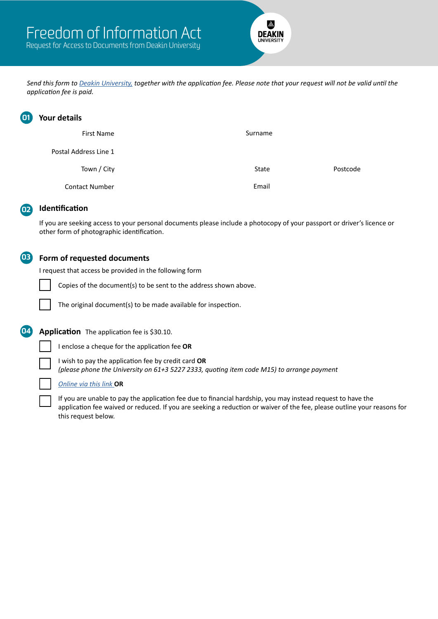

*Send this form to [Deakin University,](mailto:%20foi%40deakin.edu.au?subject=FOI%20Form%20-%20Deakin%20University) together with the application fee. Please note that your request will not be valid until the application fee is paid.*

| $\mathbf{01}$ | Your details          |         |          |
|---------------|-----------------------|---------|----------|
|               | <b>First Name</b>     | Surname |          |
|               | Postal Address Line 1 |         |          |
|               | Town / City           | State   | Postcode |
|               | <b>Contact Number</b> | Email   |          |

## 02 **Identification**

If you are seeking access to your personal documents please include a photocopy of your passport or driver's licence or other form of photographic identification.

## 03 **Form of requested documents**

I request that access be provided in the following form

Copies of the document(s) to be sent to the address shown above.

The original document(s) to be made available for inspection.

**04 Application** The application fee is \$30.10.

I enclose a cheque for the application fee **OR**

I wish to pay the application fee by credit card **OR**

*(please phone the University on 61+3 5227 2333, quoting item code M15) to arrange payment*

## *[Online via this link](https://payments.deakin.edu.au/FreedomofInformationapplicationfee/tran?UDS_ACTION_DATA=YFtcCTNFX3ZOWSFwQEJDAV0nQgxPWUAbXzZHKXZGUTF5QVlR)* **OR**

If you are unable to pay the application fee due to financial hardship, you may instead request to have the application fee waived or reduced. If you are seeking a reduction or waiver of the fee, please outline your reasons for this request below.